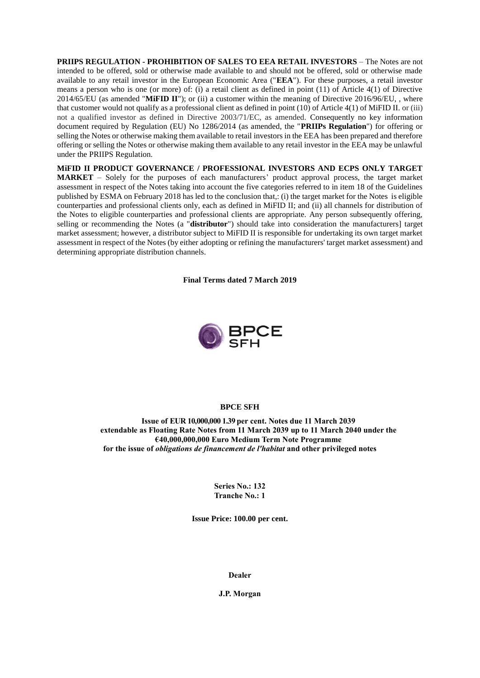**PRIIPS REGULATION - PROHIBITION OF SALES TO EEA RETAIL INVESTORS** – The Notes are not intended to be offered, sold or otherwise made available to and should not be offered, sold or otherwise made available to any retail investor in the European Economic Area ("**EEA**"). For these purposes, a retail investor means a person who is one (or more) of: (i) a retail client as defined in point (11) of Article 4(1) of Directive 2014/65/EU (as amended "**MiFID II**"); or (ii) a customer within the meaning of Directive 2016/96/EU, , where that customer would not qualify as a professional client as defined in point (10) of Article 4(1) of MiFID II. or (iii) not a qualified investor as defined in Directive 2003/71/EC, as amended. Consequently no key information document required by Regulation (EU) No 1286/2014 (as amended, the "**PRIIPs Regulation**") for offering or selling the Notes or otherwise making them available to retail investors in the EEA has been prepared and therefore offering or selling the Notes or otherwise making them available to any retail investor in the EEA may be unlawful under the PRIIPS Regulation.

**MiFID II PRODUCT GOVERNANCE / PROFESSIONAL INVESTORS AND ECPS ONLY TARGET MARKET** – Solely for the purposes of each manufacturers' product approval process, the target market assessment in respect of the Notes taking into account the five categories referred to in item 18 of the Guidelines published by ESMA on February 2018 has led to the conclusion that,: (i) the target market for the Notes is eligible counterparties and professional clients only, each as defined in MiFID II; and (ii) all channels for distribution of the Notes to eligible counterparties and professional clients are appropriate. Any person subsequently offering, selling or recommending the Notes (a "**distributor**") should take into consideration the manufacturers] target market assessment; however, a distributor subject to MiFID II is responsible for undertaking its own target market assessment in respect of the Notes (by either adopting or refining the manufacturers' target market assessment) and determining appropriate distribution channels.

**Final Terms dated 7 March 2019**



# **BPCE SFH**

**Issue of EUR 10,000,000 1.39 per cent. Notes due 11 March 2039 extendable as Floating Rate Notes from 11 March 2039 up to 11 March 2040 under the €40,000,000,000 Euro Medium Term Note Programme for the issue of** *obligations de financement de l'habitat* **and other privileged notes**

> **Series No.: 132 Tranche No.: 1**

**Issue Price: 100.00 per cent.**

**Dealer**

**J.P. Morgan**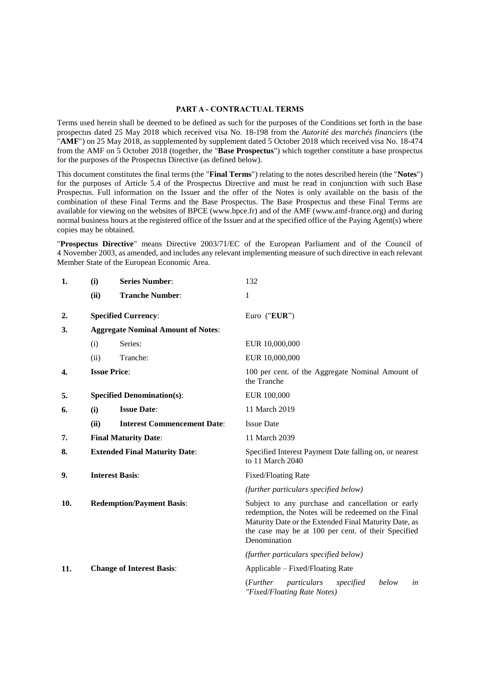#### **PART A - CONTRACTUAL TERMS**

Terms used herein shall be deemed to be defined as such for the purposes of the Conditions set forth in the base prospectus dated 25 May 2018 which received visa No. 18-198 from the *Autorité des marchés financiers* (the "**AMF**") on 25 May 2018, as supplemented by supplement dated 5 October 2018 which received visa No. 18-474 from the AMF on 5 October 2018 (together, the "**Base Prospectus**") which together constitute a base prospectus for the purposes of the Prospectus Directive (as defined below).

This document constitutes the final terms (the "**Final Terms**") relating to the notes described herein (the "**Notes**") for the purposes of Article 5.4 of the Prospectus Directive and must be read in conjunction with such Base Prospectus. Full information on the Issuer and the offer of the Notes is only available on the basis of the combination of these Final Terms and the Base Prospectus. The Base Prospectus and these Final Terms are available for viewing on the websites of BPCE (www.bpce.fr) and of the AMF (www.amf-france.org) and during normal business hours at the registered office of the Issuer and at the specified office of the Paying Agent(s) where copies may be obtained.

"**Prospectus Directive**" means Directive 2003/71/EC of the European Parliament and of the Council of 4 November 2003, as amended, and includes any relevant implementing measure of such directive in each relevant Member State of the European Economic Area.

| 1.  | (i)                                       | <b>Series Number:</b>                | 132                                                                                                                                                                                                                                      |
|-----|-------------------------------------------|--------------------------------------|------------------------------------------------------------------------------------------------------------------------------------------------------------------------------------------------------------------------------------------|
|     | (ii)                                      | <b>Tranche Number:</b>               | 1                                                                                                                                                                                                                                        |
| 2.  |                                           | <b>Specified Currency:</b>           | Euro ("EUR")                                                                                                                                                                                                                             |
| 3.  | <b>Aggregate Nominal Amount of Notes:</b> |                                      |                                                                                                                                                                                                                                          |
|     | (i)                                       | Series:                              | EUR 10,000,000                                                                                                                                                                                                                           |
|     | (ii)                                      | Tranche:                             | EUR 10,000,000                                                                                                                                                                                                                           |
| 4.  | <b>Issue Price:</b>                       |                                      | 100 per cent. of the Aggregate Nominal Amount of<br>the Tranche                                                                                                                                                                          |
| 5.  |                                           | <b>Specified Denomination(s):</b>    | EUR 100,000                                                                                                                                                                                                                              |
| 6.  | (i)                                       | <b>Issue Date:</b>                   | 11 March 2019                                                                                                                                                                                                                            |
|     | (ii)                                      | <b>Interest Commencement Date:</b>   | <b>Issue Date</b>                                                                                                                                                                                                                        |
| 7.  |                                           | <b>Final Maturity Date:</b>          | 11 March 2039                                                                                                                                                                                                                            |
| 8.  |                                           | <b>Extended Final Maturity Date:</b> | Specified Interest Payment Date falling on, or nearest<br>to 11 March 2040                                                                                                                                                               |
| 9.  |                                           | <b>Interest Basis:</b>               | <b>Fixed/Floating Rate</b>                                                                                                                                                                                                               |
|     |                                           |                                      | (further particulars specified below)                                                                                                                                                                                                    |
| 10. |                                           | <b>Redemption/Payment Basis:</b>     | Subject to any purchase and cancellation or early<br>redemption, the Notes will be redeemed on the Final<br>Maturity Date or the Extended Final Maturity Date, as<br>the case may be at 100 per cent. of their Specified<br>Denomination |
|     |                                           |                                      | (further particulars specified below)                                                                                                                                                                                                    |
| 11. |                                           | <b>Change of Interest Basis:</b>     | Applicable – Fixed/Floating Rate                                                                                                                                                                                                         |
|     |                                           |                                      | ( <i>Further</i><br>particulars<br>specified<br>below<br>in<br>"Fixed/Floating Rate Notes)                                                                                                                                               |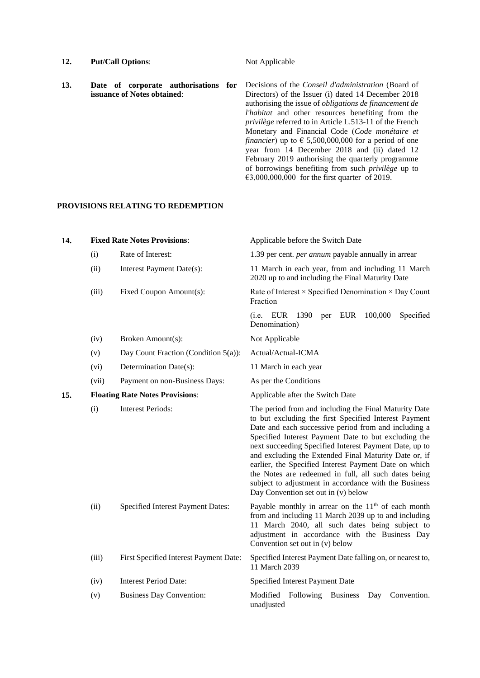12. **Put/Call Options**: Not Applicable

**13. Date of corporate authorisations for issuance of Notes obtained**: Decisions of the *Conseil d'administration* (Board of Directors) of the Issuer (i) dated 14 December 2018 authorising the issue of *obligations de financement de l'habitat* and other resources benefiting from the *privilège* referred to in Article L.513-11 of the French Monetary and Financial Code (*Code monétaire et financier*) up to  $\epsilon$  5,500,000,000 for a period of one year from 14 December 2018 and (ii) dated 12 February 2019 authorising the quarterly programme of borrowings benefiting from such *privilège* up to €3,000,000,000 for the first quarter of 2019.

#### **PROVISIONS RELATING TO REDEMPTION**

| 14. |       | <b>Fixed Rate Notes Provisions:</b>     | Applicable before the Switch Date                                                                                                                                                                                                                                                                                                                                                                                                                                                                                                                                  |
|-----|-------|-----------------------------------------|--------------------------------------------------------------------------------------------------------------------------------------------------------------------------------------------------------------------------------------------------------------------------------------------------------------------------------------------------------------------------------------------------------------------------------------------------------------------------------------------------------------------------------------------------------------------|
|     | (i)   | Rate of Interest:                       | 1.39 per cent. <i>per annum</i> payable annually in arrear                                                                                                                                                                                                                                                                                                                                                                                                                                                                                                         |
|     | (ii)  | Interest Payment Date(s):               | 11 March in each year, from and including 11 March<br>2020 up to and including the Final Maturity Date                                                                                                                                                                                                                                                                                                                                                                                                                                                             |
|     | (iii) | Fixed Coupon Amount(s):                 | Rate of Interest × Specified Denomination × Day Count<br>Fraction                                                                                                                                                                                                                                                                                                                                                                                                                                                                                                  |
|     |       |                                         | EUR<br>100,000<br>Specified<br>(i.e. EUR 1390)<br>per<br>Denomination)                                                                                                                                                                                                                                                                                                                                                                                                                                                                                             |
|     | (iv)  | Broken Amount(s):                       | Not Applicable                                                                                                                                                                                                                                                                                                                                                                                                                                                                                                                                                     |
|     | (v)   | Day Count Fraction (Condition $5(a)$ ): | Actual/Actual-ICMA                                                                                                                                                                                                                                                                                                                                                                                                                                                                                                                                                 |
|     | (vi)  | Determination Date(s):                  | 11 March in each year                                                                                                                                                                                                                                                                                                                                                                                                                                                                                                                                              |
|     | (vii) | Payment on non-Business Days:           | As per the Conditions                                                                                                                                                                                                                                                                                                                                                                                                                                                                                                                                              |
| 15. |       | <b>Floating Rate Notes Provisions:</b>  | Applicable after the Switch Date                                                                                                                                                                                                                                                                                                                                                                                                                                                                                                                                   |
|     | (i)   | <b>Interest Periods:</b>                | The period from and including the Final Maturity Date<br>to but excluding the first Specified Interest Payment<br>Date and each successive period from and including a<br>Specified Interest Payment Date to but excluding the<br>next succeeding Specified Interest Payment Date, up to<br>and excluding the Extended Final Maturity Date or, if<br>earlier, the Specified Interest Payment Date on which<br>the Notes are redeemed in full, all such dates being<br>subject to adjustment in accordance with the Business<br>Day Convention set out in (v) below |
|     | (ii)  | Specified Interest Payment Dates:       | Payable monthly in arrear on the $11th$ of each month<br>from and including 11 March 2039 up to and including<br>11 March 2040, all such dates being subject to<br>adjustment in accordance with the Business Day<br>Convention set out in (v) below                                                                                                                                                                                                                                                                                                               |
|     | (iii) | First Specified Interest Payment Date:  | Specified Interest Payment Date falling on, or nearest to,<br>11 March 2039                                                                                                                                                                                                                                                                                                                                                                                                                                                                                        |
|     | (iv)  | <b>Interest Period Date:</b>            | Specified Interest Payment Date                                                                                                                                                                                                                                                                                                                                                                                                                                                                                                                                    |
|     | (v)   | <b>Business Day Convention:</b>         | Modified<br>Following<br><b>Business</b><br>Convention.<br>Day<br>unadjusted                                                                                                                                                                                                                                                                                                                                                                                                                                                                                       |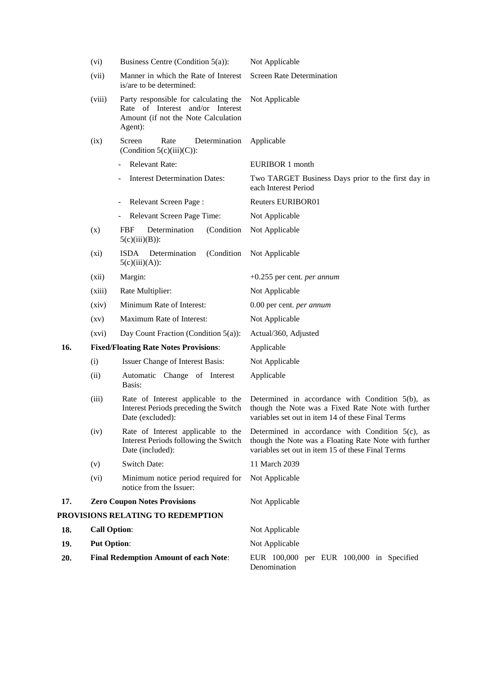|                                                     | (vi)                                         | Business Centre (Condition $5(a)$ ):                                                                                        | Not Applicable                                                                                                                                                    |
|-----------------------------------------------------|----------------------------------------------|-----------------------------------------------------------------------------------------------------------------------------|-------------------------------------------------------------------------------------------------------------------------------------------------------------------|
|                                                     | (vii)                                        | Manner in which the Rate of Interest<br>is/are to be determined:                                                            | <b>Screen Rate Determination</b>                                                                                                                                  |
|                                                     | (viii)                                       | Party responsible for calculating the<br>Rate of Interest and/or Interest<br>Amount (if not the Note Calculation<br>Agent): | Not Applicable                                                                                                                                                    |
|                                                     | (ix)                                         | Screen<br>Rate<br>Determination<br>(Condition $5(c)(iii)(C)$ ):                                                             | Applicable                                                                                                                                                        |
|                                                     |                                              | Relevant Rate:                                                                                                              | EURIBOR 1 month                                                                                                                                                   |
|                                                     |                                              | <b>Interest Determination Dates:</b>                                                                                        | Two TARGET Business Days prior to the first day in<br>each Interest Period                                                                                        |
|                                                     |                                              | Relevant Screen Page:                                                                                                       | <b>Reuters EURIBOR01</b>                                                                                                                                          |
|                                                     |                                              | Relevant Screen Page Time:                                                                                                  | Not Applicable                                                                                                                                                    |
|                                                     | (x)                                          | Determination<br>(Condition<br>FBF<br>$5(c)(iii)(B))$ :                                                                     | Not Applicable                                                                                                                                                    |
|                                                     | (xi)                                         | Determination<br>(Condition<br><b>ISDA</b><br>$5(c)(iii)(A))$ :                                                             | Not Applicable                                                                                                                                                    |
|                                                     | (xii)                                        | Margin:                                                                                                                     | $+0.255$ per cent. <i>per annum</i>                                                                                                                               |
|                                                     | (xiii)                                       | Rate Multiplier:                                                                                                            | Not Applicable                                                                                                                                                    |
|                                                     | (xiv)                                        | Minimum Rate of Interest:                                                                                                   | 0.00 per cent. per annum                                                                                                                                          |
|                                                     | $\left( xy\right)$                           | Maximum Rate of Interest:                                                                                                   | Not Applicable                                                                                                                                                    |
|                                                     | (xvi)                                        | Day Count Fraction (Condition 5(a)):                                                                                        | Actual/360, Adjusted                                                                                                                                              |
| 16.<br><b>Fixed/Floating Rate Notes Provisions:</b> |                                              |                                                                                                                             | Applicable                                                                                                                                                        |
|                                                     | (i)                                          | Issuer Change of Interest Basis:                                                                                            | Not Applicable                                                                                                                                                    |
|                                                     | (ii)                                         | Automatic Change of Interest<br>Basis:                                                                                      | Applicable                                                                                                                                                        |
|                                                     | (iii)                                        | Rate of Interest applicable to the<br>Interest Periods preceding the Switch<br>Date (excluded):                             | Determined in accordance with Condition $5(b)$ , as<br>though the Note was a Fixed Rate Note with further<br>variables set out in item 14 of these Final Terms    |
|                                                     | (iv)                                         | Rate of Interest applicable to the<br>Interest Periods following the Switch<br>Date (included):                             | Determined in accordance with Condition $5(c)$ , as<br>though the Note was a Floating Rate Note with further<br>variables set out in item 15 of these Final Terms |
|                                                     | (v)                                          | <b>Switch Date:</b>                                                                                                         | 11 March 2039                                                                                                                                                     |
|                                                     | (vi)                                         | Minimum notice period required for<br>notice from the Issuer:                                                               | Not Applicable                                                                                                                                                    |
| 17.                                                 | <b>Zero Coupon Notes Provisions</b>          |                                                                                                                             | Not Applicable                                                                                                                                                    |
|                                                     | PROVISIONS RELATING TO REDEMPTION            |                                                                                                                             |                                                                                                                                                                   |
| 18.                                                 | <b>Call Option:</b>                          |                                                                                                                             | Not Applicable                                                                                                                                                    |
| 19.                                                 | <b>Put Option:</b>                           |                                                                                                                             | Not Applicable                                                                                                                                                    |
| 20.                                                 | <b>Final Redemption Amount of each Note:</b> |                                                                                                                             | EUR 100,000 per EUR 100,000 in Specified<br>Denomination                                                                                                          |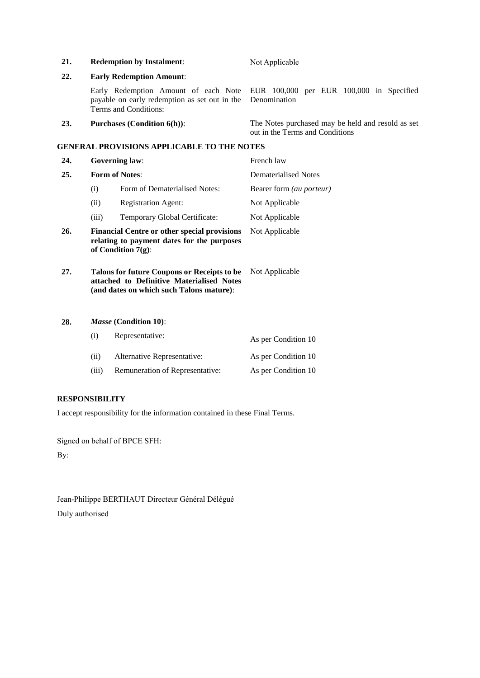| 21.                          |                       | <b>Redemption by Instalment:</b>                                                                                                     | Not Applicable                                                                       |
|------------------------------|-----------------------|--------------------------------------------------------------------------------------------------------------------------------------|--------------------------------------------------------------------------------------|
| 22.                          |                       | <b>Early Redemption Amount:</b>                                                                                                      |                                                                                      |
|                              |                       | Early Redemption Amount of each Note<br>payable on early redemption as set out in the<br>Terms and Conditions:                       | EUR 100,000 per EUR 100,000 in Specified<br>Denomination                             |
| 23.                          |                       | <b>Purchases (Condition 6(h)):</b>                                                                                                   | The Notes purchased may be held and resold as set<br>out in the Terms and Conditions |
|                              |                       | GENERAL PROVISIONS APPLICABLE TO THE NOTES                                                                                           |                                                                                      |
| 24.                          | <b>Governing law:</b> |                                                                                                                                      | French law                                                                           |
| <b>Form of Notes:</b><br>25. |                       |                                                                                                                                      | <b>Dematerialised Notes</b>                                                          |
|                              | (i)                   | Form of Dematerialised Notes:                                                                                                        | Bearer form (au porteur)                                                             |
|                              | (ii)                  | <b>Registration Agent:</b>                                                                                                           | Not Applicable                                                                       |
|                              | (iii)                 | Temporary Global Certificate:                                                                                                        | Not Applicable                                                                       |
| 26.                          |                       | <b>Financial Centre or other special provisions</b><br>relating to payment dates for the purposes<br>of Condition $7(g)$ :           | Not Applicable                                                                       |
| 27.                          |                       | Talons for future Coupons or Receipts to be<br>attached to Definitive Materialised Notes<br>(and dates on which such Talons mature): | Not Applicable                                                                       |
| 28.                          | (i)                   | Masse (Condition 10):<br>Representative:                                                                                             | As per Condition 10                                                                  |

| (ii)  | Alternative Representative:     | As per Condition 10 |
|-------|---------------------------------|---------------------|
| (iii) | Remuneration of Representative: | As per Condition 10 |

# **RESPONSIBILITY**

I accept responsibility for the information contained in these Final Terms.

Signed on behalf of BPCE SFH:

By:

Jean-Philippe BERTHAUT Directeur Général Délégué Duly authorised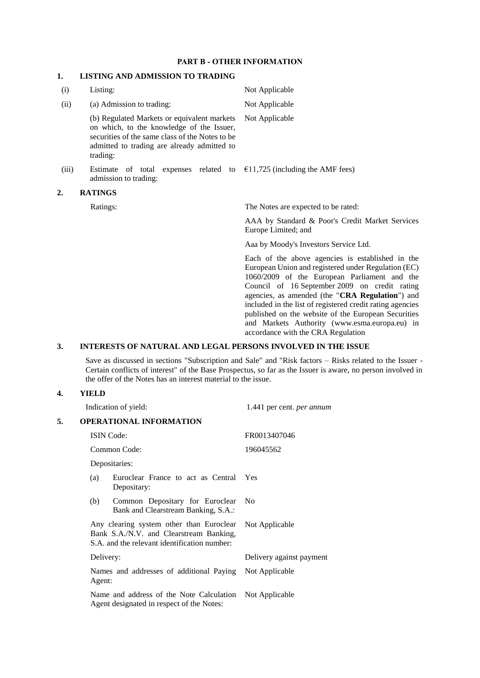## **PART B - OTHER INFORMATION**

# **1. LISTING AND ADMISSION TO TRADING**

| (i)   | Listing:                                                                                                                                                                                               | Not Applicable                                                                                                                                                                                                                                                                                                                                                                                                                                                         |  |
|-------|--------------------------------------------------------------------------------------------------------------------------------------------------------------------------------------------------------|------------------------------------------------------------------------------------------------------------------------------------------------------------------------------------------------------------------------------------------------------------------------------------------------------------------------------------------------------------------------------------------------------------------------------------------------------------------------|--|
| (ii)  | (a) Admission to trading:                                                                                                                                                                              | Not Applicable                                                                                                                                                                                                                                                                                                                                                                                                                                                         |  |
|       | (b) Regulated Markets or equivalent markets<br>on which, to the knowledge of the Issuer,<br>securities of the same class of the Notes to be<br>admitted to trading are already admitted to<br>trading: | Not Applicable                                                                                                                                                                                                                                                                                                                                                                                                                                                         |  |
| (iii) | Estimate of total<br>admission to trading:                                                                                                                                                             | expenses related to $\epsilon$ 11,725 (including the AMF fees)                                                                                                                                                                                                                                                                                                                                                                                                         |  |
| 2.    | <b>RATINGS</b>                                                                                                                                                                                         |                                                                                                                                                                                                                                                                                                                                                                                                                                                                        |  |
|       | Ratings:                                                                                                                                                                                               | The Notes are expected to be rated:                                                                                                                                                                                                                                                                                                                                                                                                                                    |  |
|       |                                                                                                                                                                                                        | AAA by Standard & Poor's Credit Market Services<br>Europe Limited; and                                                                                                                                                                                                                                                                                                                                                                                                 |  |
|       |                                                                                                                                                                                                        | Aaa by Moody's Investors Service Ltd.                                                                                                                                                                                                                                                                                                                                                                                                                                  |  |
|       |                                                                                                                                                                                                        | Each of the above agencies is established in the<br>European Union and registered under Regulation (EC)<br>1060/2009 of the European Parliament and the<br>Council of 16 September 2009 on credit rating<br>agencies, as amended (the "CRA Regulation") and<br>included in the list of registered credit rating agencies<br>published on the website of the European Securities<br>and Markets Authority (www.esma.europa.eu) in<br>accordance with the CRA Regulation |  |

# **3. INTERESTS OF NATURAL AND LEGAL PERSONS INVOLVED IN THE ISSUE**

Save as discussed in sections "Subscription and Sale" and "Risk factors – Risks related to the Issuer - Certain conflicts of interest" of the Base Prospectus, so far as the Issuer is aware, no person involved in the offer of the Notes has an interest material to the issue.

# **4. YIELD**

|    | Indication of yield:                                                                                                                | 1.441 per cent. per annum |
|----|-------------------------------------------------------------------------------------------------------------------------------------|---------------------------|
| 5. | <b>OPERATIONAL INFORMATION</b>                                                                                                      |                           |
|    | <b>ISIN</b> Code:                                                                                                                   | FR0013407046              |
|    | Common Code:                                                                                                                        | 196045562                 |
|    | Depositaries:                                                                                                                       |                           |
|    | Euroclear France to act as Central<br>(a)<br>Depositary:                                                                            | <b>Yes</b>                |
|    | Common Depositary for Euroclear<br>(b)<br>Bank and Clearstream Banking, S.A.:                                                       | No                        |
|    | Any clearing system other than Euroclear<br>Bank S.A./N.V. and Clearstream Banking,<br>S.A. and the relevant identification number: | Not Applicable            |
|    | Delivery:                                                                                                                           | Delivery against payment  |
|    | Names and addresses of additional Paying<br>Agent:                                                                                  | Not Applicable            |
|    | Name and address of the Note Calculation<br>Agent designated in respect of the Notes:                                               | Not Applicable            |